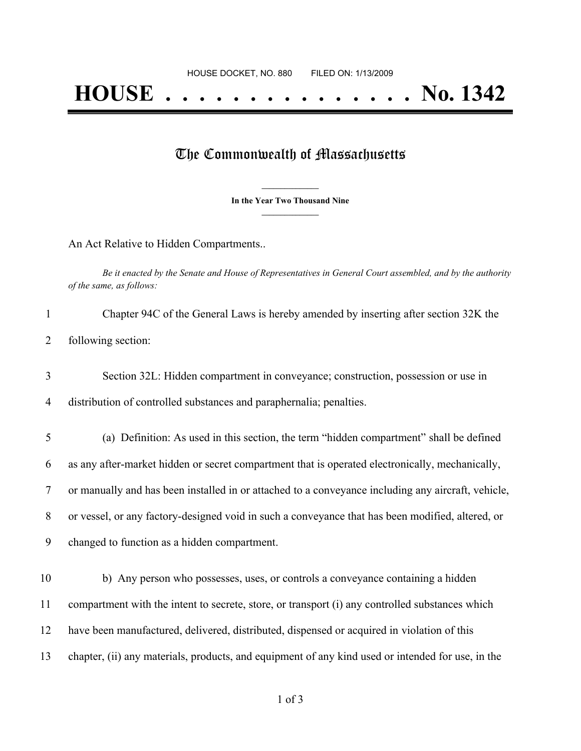## The Commonwealth of Massachusetts

**\_\_\_\_\_\_\_\_\_\_\_\_\_\_\_ In the Year Two Thousand Nine \_\_\_\_\_\_\_\_\_\_\_\_\_\_\_**

An Act Relative to Hidden Compartments..

Be it enacted by the Senate and House of Representatives in General Court assembled, and by the authority *of the same, as follows:*

| Chapter 94C of the General Laws is hereby amended by inserting after section 32K the |
|--------------------------------------------------------------------------------------|
| following section:                                                                   |

 Section 32L: Hidden compartment in conveyance; construction, possession or use in distribution of controlled substances and paraphernalia; penalties.

 (a) Definition: As used in this section, the term "hidden compartment" shall be defined as any after-market hidden or secret compartment that is operated electronically, mechanically, or manually and has been installed in or attached to a conveyance including any aircraft, vehicle, or vessel, or any factory-designed void in such a conveyance that has been modified, altered, or changed to function as a hidden compartment.

 b) Any person who possesses, uses, or controls a conveyance containing a hidden compartment with the intent to secrete, store, or transport (i) any controlled substances which have been manufactured, delivered, distributed, dispensed or acquired in violation of this chapter, (ii) any materials, products, and equipment of any kind used or intended for use, in the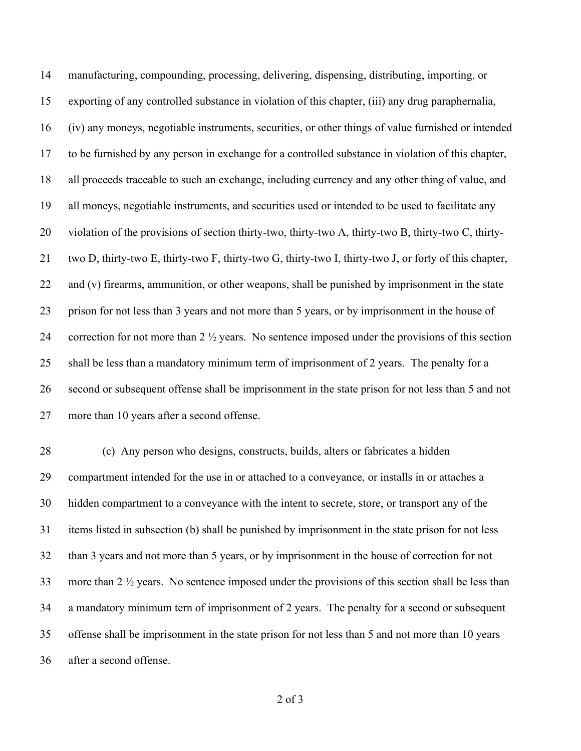manufacturing, compounding, processing, delivering, dispensing, distributing, importing, or exporting of any controlled substance in violation of this chapter, (iii) any drug paraphernalia, (iv) any moneys, negotiable instruments, securities, or other things of value furnished or intended to be furnished by any person in exchange for a controlled substance in violation of this chapter, all proceeds traceable to such an exchange, including currency and any other thing of value, and all moneys, negotiable instruments, and securities used or intended to be used to facilitate any violation of the provisions of section thirty-two, thirty-two A, thirty-two B, thirty-two C, thirty- two D, thirty-two E, thirty-two F, thirty-two G, thirty-two I, thirty-two J, or forty of this chapter, 22 and (v) firearms, ammunition, or other weapons, shall be punished by imprisonment in the state prison for not less than 3 years and not more than 5 years, or by imprisonment in the house of correction for not more than 2 ½ years. No sentence imposed under the provisions of this section shall be less than a mandatory minimum term of imprisonment of 2 years. The penalty for a second or subsequent offense shall be imprisonment in the state prison for not less than 5 and not more than 10 years after a second offense.

 (c) Any person who designs, constructs, builds, alters or fabricates a hidden compartment intended for the use in or attached to a conveyance, or installs in or attaches a hidden compartment to a conveyance with the intent to secrete, store, or transport any of the items listed in subsection (b) shall be punished by imprisonment in the state prison for not less than 3 years and not more than 5 years, or by imprisonment in the house of correction for not more than 2 ½ years. No sentence imposed under the provisions of this section shall be less than a mandatory minimum tern of imprisonment of 2 years. The penalty for a second or subsequent offense shall be imprisonment in the state prison for not less than 5 and not more than 10 years after a second offense.